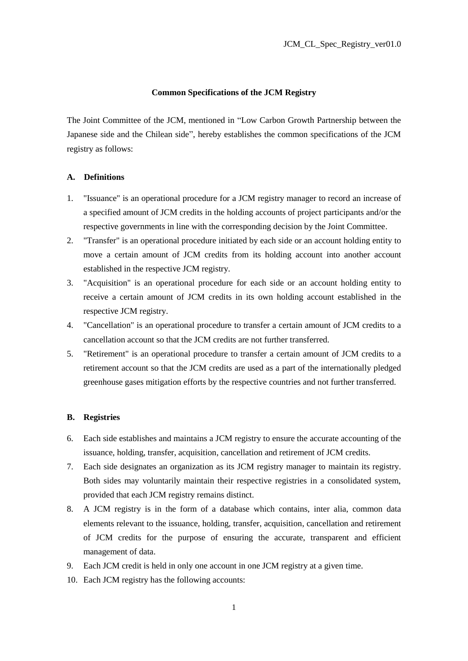## **Common Specifications of the JCM Registry**

The Joint Committee of the JCM, mentioned in "Low Carbon Growth Partnership between the Japanese side and the Chilean side", hereby establishes the common specifications of the JCM registry as follows:

# **A. Definitions**

- 1. "Issuance" is an operational procedure for a JCM registry manager to record an increase of a specified amount of JCM credits in the holding accounts of project participants and/or the respective governments in line with the corresponding decision by the Joint Committee.
- 2. "Transfer" is an operational procedure initiated by each side or an account holding entity to move a certain amount of JCM credits from its holding account into another account established in the respective JCM registry.
- 3. "Acquisition" is an operational procedure for each side or an account holding entity to receive a certain amount of JCM credits in its own holding account established in the respective JCM registry.
- 4. "Cancellation" is an operational procedure to transfer a certain amount of JCM credits to a cancellation account so that the JCM credits are not further transferred.
- 5. "Retirement" is an operational procedure to transfer a certain amount of JCM credits to a retirement account so that the JCM credits are used as a part of the internationally pledged greenhouse gases mitigation efforts by the respective countries and not further transferred.

## **B. Registries**

- 6. Each side establishes and maintains a JCM registry to ensure the accurate accounting of the issuance, holding, transfer, acquisition, cancellation and retirement of JCM credits.
- 7. Each side designates an organization as its JCM registry manager to maintain its registry. Both sides may voluntarily maintain their respective registries in a consolidated system, provided that each JCM registry remains distinct.
- 8. A JCM registry is in the form of a database which contains, inter alia, common data elements relevant to the issuance, holding, transfer, acquisition, cancellation and retirement of JCM credits for the purpose of ensuring the accurate, transparent and efficient management of data.
- 9. Each JCM credit is held in only one account in one JCM registry at a given time.
- 10. Each JCM registry has the following accounts: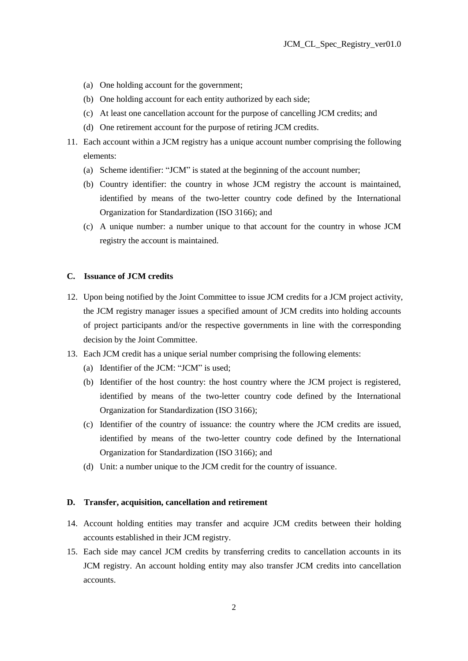- (a) One holding account for the government;
- (b) One holding account for each entity authorized by each side;
- (c) At least one cancellation account for the purpose of cancelling JCM credits; and
- (d) One retirement account for the purpose of retiring JCM credits.
- 11. Each account within a JCM registry has a unique account number comprising the following elements:
	- (a) Scheme identifier: "JCM" is stated at the beginning of the account number;
	- (b) Country identifier: the country in whose JCM registry the account is maintained, identified by means of the two-letter country code defined by the International Organization for Standardization (ISO 3166); and
	- (c) A unique number: a number unique to that account for the country in whose JCM registry the account is maintained.

#### **C. Issuance of JCM credits**

- 12. Upon being notified by the Joint Committee to issue JCM credits for a JCM project activity, the JCM registry manager issues a specified amount of JCM credits into holding accounts of project participants and/or the respective governments in line with the corresponding decision by the Joint Committee.
- 13. Each JCM credit has a unique serial number comprising the following elements:
	- (a) Identifier of the JCM: "JCM" is used;
	- (b) Identifier of the host country: the host country where the JCM project is registered, identified by means of the two-letter country code defined by the International Organization for Standardization (ISO 3166);
	- (c) Identifier of the country of issuance: the country where the JCM credits are issued, identified by means of the two-letter country code defined by the International Organization for Standardization (ISO 3166); and
	- (d) Unit: a number unique to the JCM credit for the country of issuance.

### **D. Transfer, acquisition, cancellation and retirement**

- 14. Account holding entities may transfer and acquire JCM credits between their holding accounts established in their JCM registry.
- 15. Each side may cancel JCM credits by transferring credits to cancellation accounts in its JCM registry. An account holding entity may also transfer JCM credits into cancellation accounts.